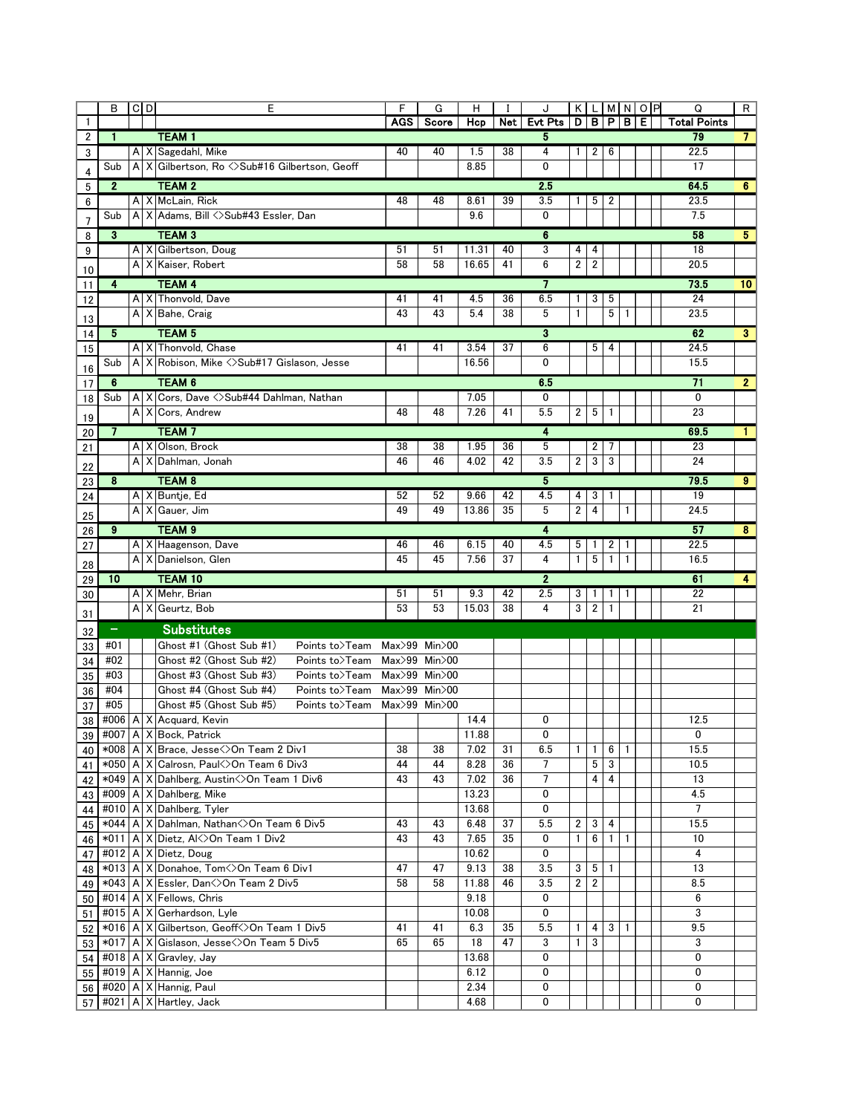|                | B                            | C D           | E                                                   | F             | G             | H     |     | J              |                | KLMNOP                  |                |                |                       | Q                   | R                       |
|----------------|------------------------------|---------------|-----------------------------------------------------|---------------|---------------|-------|-----|----------------|----------------|-------------------------|----------------|----------------|-----------------------|---------------------|-------------------------|
| $\mathbf{1}$   |                              |               |                                                     | <b>AGS</b>    | Score         | Hcp   | Net | Evt Pts        | $\mathsf{D}$   | в                       | P              |                | <b>B</b> <sub>E</sub> | <b>Total Points</b> |                         |
| 2              | 1.                           |               | <b>TEAM1</b>                                        |               |               |       |     | 5              |                |                         |                |                |                       | 79                  | 7.                      |
| 3              |                              | $A$ $X$       | Sagedahl, Mike                                      | 40            | 40            | 1.5   | 38  | 4              | 1              | 2                       | 6              |                |                       | 22.5                |                         |
| 4              | Sub                          | A<br>х        | Gilbertson, Ro <>Sub#16 Gilbertson, Geoff           |               |               | 8.85  |     | 0              |                |                         |                |                |                       | 17                  |                         |
|                | $\mathbf{2}$                 |               | <b>TEAM 2</b>                                       |               |               |       |     | 2.5            |                |                         |                |                |                       | 645                 | 6                       |
| 5              |                              |               | A X McLain, Rick                                    | 48            | 48            | 8.61  | 39  | 3.5            | 1.             | 5                       | 2              |                |                       | 23.5                |                         |
| 6              | Sub                          | Α<br>X        | Adams, Bill <>Sub#43 Essler, Dan                    |               |               | 9.6   |     | 0              |                |                         |                |                |                       | 7.5                 |                         |
| $\overline{7}$ |                              |               |                                                     |               |               |       |     |                |                |                         |                |                |                       |                     |                         |
| 8              | 3                            |               | TEAM 3                                              |               |               |       |     | 6              |                |                         |                |                |                       | 58                  | 5.                      |
| 9              |                              |               | A X Gilbertson, Doug                                | 51            | 51            | 11.31 | 40  | 3              | 4              | 4                       |                |                |                       | 18                  |                         |
| 10             |                              | A             | X Kaiser, Robert                                    | 58            | 58            | 16.65 | 41  | 6              | $\overline{2}$ | $\overline{\mathbf{c}}$ |                |                |                       | 20.5                |                         |
| 11             | 4                            |               | <b>TEAM 4</b>                                       |               |               |       |     | $\overline{7}$ |                |                         |                |                |                       | 73.5                | 10 <sub>10</sub>        |
| 12             |                              |               | A X Thonvold, Dave                                  | 41            | 41            | 4.5   | 36  | 6.5            | 1              | 3                       | 5              |                |                       | 24                  |                         |
| 13             |                              | A             | $X$ Bahe, Craig                                     | 43            | 43            | 5.4   | 38  | 5              | $\mathbf{1}$   |                         | 5              | $\mathbf{1}$   |                       | 23.5                |                         |
|                | 5                            |               | <b>TEAM 5</b>                                       |               |               |       |     | 3              |                |                         |                |                |                       | 62                  | $\overline{\mathbf{3}}$ |
| 14<br>15       |                              |               | A X Thonvold, Chase                                 | 41            | 41            | 3.54  | 37  | 6              |                | 5                       | 4              |                |                       | 24.5                |                         |
|                | Sub                          | $\times$<br>Α | Robison, Mike <>Sub#17 Gislason, Jesse              |               |               | 16.56 |     | 0              |                |                         |                |                |                       | 15.5                |                         |
| 16             |                              |               |                                                     |               |               |       |     |                |                |                         |                |                |                       |                     |                         |
| 17             | 6                            |               | TEAM <sub>6</sub>                                   |               |               |       |     | 6.5            |                |                         |                |                |                       | 71                  | 2 <sup>1</sup>          |
| 18             | Sub                          | A X           | Cors, Dave <>Sub#44 Dahlman, Nathan                 |               |               | 7.05  |     | 0              |                |                         |                |                |                       | 0                   |                         |
| 19             |                              | А<br>Х        | Cors, Andrew                                        | 48            | 48            | 7.26  | 41  | 5.5            | $\overline{2}$ | 5                       | 1              |                |                       | 23                  |                         |
| 20             | $\overline{7}$               |               | <b>TEAM7</b>                                        |               |               |       |     | 4              |                |                         |                |                |                       | 69.5                | 1.                      |
| 21             |                              |               | A X Olson, Brock                                    | 38            | 38            | 1.95  | 36  | 5              |                | 2                       | 7              |                |                       | 23                  |                         |
|                |                              | А             | X Dahlman, Jonah                                    | 46            | 46            | 4.02  | 42  | 3.5            | 2              | 3                       | 3              |                |                       | 24                  |                         |
| 22             |                              |               |                                                     |               |               |       |     |                |                |                         |                |                |                       |                     |                         |
| 23             | 8                            |               | <b>TEAM 8</b>                                       |               |               |       |     | 5              |                |                         |                |                |                       | 79.5                | 9                       |
| 24             |                              |               | A   X   Buntje, Ed                                  | 52            | 52            | 9.66  | 42  | 4.5            | 4              | 3                       |                |                |                       | 19                  |                         |
| 25             |                              | A<br>Χ        | Gauer, Jim                                          | 49            | 49            | 13.86 | 35  | 5              | $\overline{2}$ | 4                       |                | 1              |                       | 24.5                |                         |
| 26             | 9                            |               | TEAM <sub>9</sub>                                   |               |               |       |     | 4              |                |                         |                |                |                       | 57                  | 8                       |
| 27             |                              |               | A   X   Haagenson, Dave                             | 46            | 46            | 6.15  | 40  | 4.5            | 5              | 1                       | 2              | 1              |                       | 22.5                |                         |
| 28             |                              | A             | X Danielson, Glen                                   | 45            | 45            | 7.56  | 37  | 4              | 1              | 5                       | 1              | $\mathbf{1}$   |                       | 16.5                |                         |
| 29             | 10                           |               | <b>TEAM 10</b>                                      |               |               |       |     | $\mathbf{2}$   |                |                         |                |                |                       | 61                  | 4                       |
| 30             |                              |               | A   X   Mehr, Brian                                 | 51            | 51            | 9.3   | 42  | 2.5            | 3              | 1                       | 1              | 1              |                       | 22                  |                         |
|                |                              | A<br>X        | Geurtz, Bob                                         | 53            | 53            | 15.03 | 38  | 4              | 3              | 2                       | 1              |                |                       | 21                  |                         |
| 31             |                              |               |                                                     |               |               |       |     |                |                |                         |                |                |                       |                     |                         |
| 32             | $\qquad \qquad \blacksquare$ |               | <b>Substitutes</b>                                  |               |               |       |     |                |                |                         |                |                |                       |                     |                         |
| 33             | #01                          |               | Ghost #1 (Ghost Sub #1)<br>Points to>Team           | Max>99 Min>00 |               |       |     |                |                |                         |                |                |                       |                     |                         |
| 34             | #02                          |               | Ghost #2 (Ghost Sub #2)<br>Points to>Team           |               | Max>99 Min>00 |       |     |                |                |                         |                |                |                       |                     |                         |
| 35             | #03                          |               | Ghost #3 (Ghost Sub #3)<br>Points to>Team           |               | Max>99 Min>00 |       |     |                |                |                         |                |                |                       |                     |                         |
| 36             | #04                          |               | Ghost #4 (Ghost Sub #4)<br>Points to>Team           |               | Max>99 Min>00 |       |     |                |                |                         |                |                |                       |                     |                         |
| 37             | #05                          |               | Ghost #5 (Ghost Sub #5)<br>Points to∑Team           |               | Max>99 Min>00 |       |     |                |                |                         |                |                |                       |                     |                         |
| 38             | #006                         | A<br>Х        | Acquard, Kevin                                      |               |               | 14.4  |     | 0              |                |                         |                |                |                       | 12.5                |                         |
|                |                              |               | 39   #007   A   X   Bock, Patrick                   |               |               | 11.88 |     | 0              |                |                         |                |                |                       | 0                   |                         |
| 40             |                              |               | *008   A   X   Brace, Jesse < > On Team 2 Div1      | 38            | 38            | 7.02  | 31  | 6.5            | 1              | $\mathbf{1}$            | 6              | $\mathbf{1}$   |                       | 15.5                |                         |
| 41             |                              |               | 18 *050   A   X   Calrosn, Paul < > On Team 6 Div 3 | 44            | 44            | 8.28  | 36  | 7              |                | 5                       | 3              |                |                       | 10.5                |                         |
| 42             |                              |               | *049   A   X   Dahlberg, Austin < > On Team 1 Div6  | 43            | 43            | 7.02  | 36  | 7              |                | 4                       | 4              |                |                       | 13                  |                         |
| 43             |                              |               | $\#009$   A   X   Dahlberg, Mike                    |               |               | 13.23 |     | 0              |                |                         |                |                |                       | 4.5                 |                         |
| 44             |                              |               | #010   A   X   Dahlberg, Tyler                      |               |               | 13.68 |     | 0              |                |                         |                |                |                       | 7                   |                         |
| 45             |                              |               | *044   A   X   Dahlman, Nathan < > On Team 6 Div 5  | 43            | 43            | 6.48  | 37  | 5.5            | $\overline{2}$ | 3                       | 4              |                |                       | 15.5                |                         |
| 46             |                              |               | *011   A   X   Dietz, Al<>On Team 1 Div2            | 43            | 43            | 7.65  | 35  | 0              | $\mathbf{1}$   | $6\phantom{.0}$         | $\mathbf{1}$   | $\overline{1}$ |                       | 10                  |                         |
| 47             |                              |               | #012   A   X   Dietz, Doug                          |               |               | 10.62 |     | 0              |                |                         |                |                |                       | 4                   |                         |
| 48             |                              |               | *013   A   X   Donahoe, Tom<>On Team 6 Div1         | 47            | 47            | 9.13  | 38  | 3.5            | 3              | 5                       | $\overline{1}$ |                |                       | 13                  |                         |
| 49             |                              |               | *043   A   X   Essler, Dan <>>> On Team 2 Div5      | 58            | 58            | 11.88 | 46  | 3.5            | $\overline{2}$ | $\overline{2}$          |                |                |                       | 8.5                 |                         |
| 50             |                              |               | #014   A   X   Fellows, Chris                       |               |               | 9.18  |     | 0              |                |                         |                |                |                       | 6                   |                         |
| 51             |                              |               | #015   A   X   Gerhardson, Lyle                     |               |               | 10.08 |     | 0              |                |                         |                |                |                       | 3                   |                         |
| 52             |                              |               | *016   A   X   Gilbertson, Geoff < > On Team 1 Div5 | 41            | 41            | 6.3   | 35  | 5.5            | 1              | 4                       | 3              | $\mathbf{1}$   |                       | 9.5                 |                         |
| 53             |                              |               | *017   A   X   Gislason, Jesse<>On Team 5 Div5      | 65            | 65            | 18    | 47  | 3              | 1              | 3                       |                |                |                       | 3                   |                         |
| 54             |                              |               | #018   A   X   Gravley, Jay                         |               |               | 13.68 |     | 0              |                |                         |                |                |                       | 0                   |                         |
| 55             |                              |               | #019   A   $X$   Hannig, Joe                        |               |               | 6.12  |     | 0              |                |                         |                |                |                       | 0                   |                         |
| 56             |                              |               | #020   A   X   Hannig, Paul                         |               |               | 2.34  |     | 0              |                |                         |                |                |                       | 0                   |                         |
| 57             |                              |               | #021 A X Hartley, Jack                              |               |               | 4.68  |     | 0              |                |                         |                |                |                       | 0                   |                         |